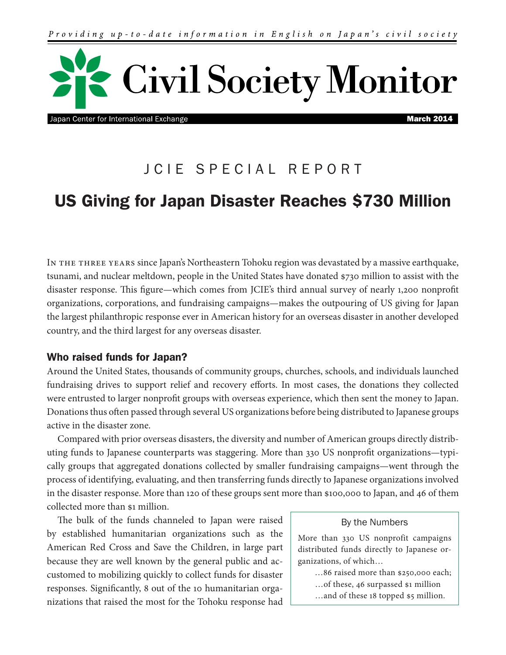

Japan Center for International Exchange

March 2014

# JCIE SPECIAL REPORT

# US Giving for Japan Disaster Reaches \$730 Million

In the three years since Japan's Northeastern Tohoku region was devastated by a massive earthquake, tsunami, and nuclear meltdown, people in the United States have donated \$730 million to assist with the disaster response. This figure—which comes from JCIE's third annual survey of nearly 1,200 nonprofit organizations, corporations, and fundraising campaigns—makes the outpouring of US giving for Japan the largest philanthropic response ever in American history for an overseas disaster in another developed country, and the third largest for any overseas disaster.

# Who raised funds for Japan?

Around the United States, thousands of community groups, churches, schools, and individuals launched fundraising drives to support relief and recovery efforts. In most cases, the donations they collected were entrusted to larger nonprofit groups with overseas experience, which then sent the money to Japan. Donations thus often passed through several US organizations before being distributed to Japanese groups active in the disaster zone.

Compared with prior overseas disasters, the diversity and number of American groups directly distributing funds to Japanese counterparts was staggering. More than 330 US nonprofit organizations—typically groups that aggregated donations collected by smaller fundraising campaigns—went through the process of identifying, evaluating, and then transferring funds directly to Japanese organizations involved in the disaster response. More than 120 of these groups sent more than \$100,000 to Japan, and 46 of them collected more than \$1 million.

The bulk of the funds channeled to Japan were raised by established humanitarian organizations such as the American Red Cross and Save the Children, in large part because they are well known by the general public and accustomed to mobilizing quickly to collect funds for disaster responses. Significantly, 8 out of the 10 humanitarian organizations that raised the most for the Tohoku response had

#### By the Numbers

More than 330 US nonprofit campaigns distributed funds directly to Japanese organizations, of which…

…86 raised more than \$250,000 each;

- …of these, 46 surpassed \$1 million
- …and of these 18 topped \$5 million.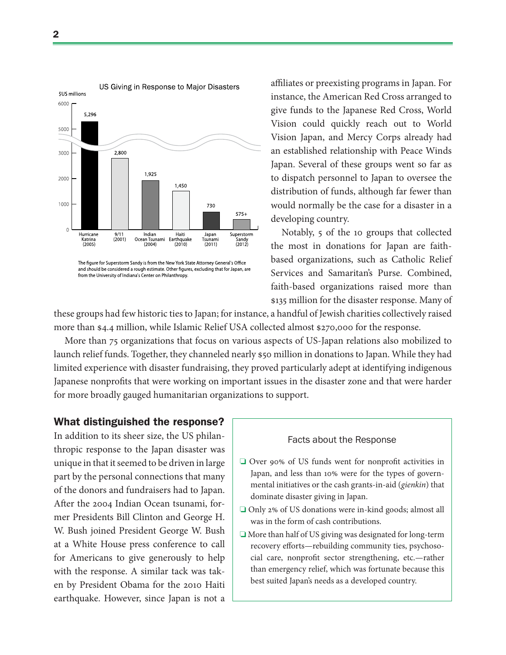

The figure for Superstorm Sandy is from the New York State Attorney General's Office and should be considered a rough estimate. Other figures, excluding that for Japan, are from the University of Indiana's Center on Philanthropy.

affiliates or preexisting programs in Japan. For instance, the American Red Cross arranged to give funds to the Japanese Red Cross, World Vision could quickly reach out to World Vision Japan, and Mercy Corps already had an established relationship with Peace Winds Japan. Several of these groups went so far as to dispatch personnel to Japan to oversee the distribution of funds, although far fewer than would normally be the case for a disaster in a developing country.

Notably, 5 of the 10 groups that collected the most in donations for Japan are faithbased organizations, such as Catholic Relief Services and Samaritan's Purse. Combined, faith-based organizations raised more than \$135 million for the disaster response. Many of

these groups had few historic ties to Japan; for instance, a handful of Jewish charities collectively raised more than \$4.4 million, while Islamic Relief USA collected almost \$270,000 for the response.

More than 75 organizations that focus on various aspects of US-Japan relations also mobilized to launch relief funds. Together, they channeled nearly \$50 million in donations to Japan. While they had limited experience with disaster fundraising, they proved particularly adept at identifying indigenous Japanese nonprofits that were working on important issues in the disaster zone and that were harder for more broadly gauged humanitarian organizations to support.

### What distinguished the response?

In addition to its sheer size, the US philanthropic response to the Japan disaster was unique in that it seemed to be driven in large part by the personal connections that many of the donors and fundraisers had to Japan. After the 2004 Indian Ocean tsunami, former Presidents Bill Clinton and George H. W. Bush joined President George W. Bush at a White House press conference to call for Americans to give generously to help with the response. A similar tack was taken by President Obama for the 2010 Haiti earthquake. However, since Japan is not a

#### Facts about the Response

- ❏ Over 90% of US funds went for nonprofit activities in Japan, and less than 10% were for the types of governmental initiatives or the cash grants-in-aid (*gienkin*) that dominate disaster giving in Japan.
- ❏ Only 2% of US donations were in-kind goods; almost all was in the form of cash contributions.
- ❏ More than half of US giving was designated for long-term recovery efforts—rebuilding community ties, psychosocial care, nonprofit sector strengthening, etc.—rather than emergency relief, which was fortunate because this best suited Japan's needs as a developed country.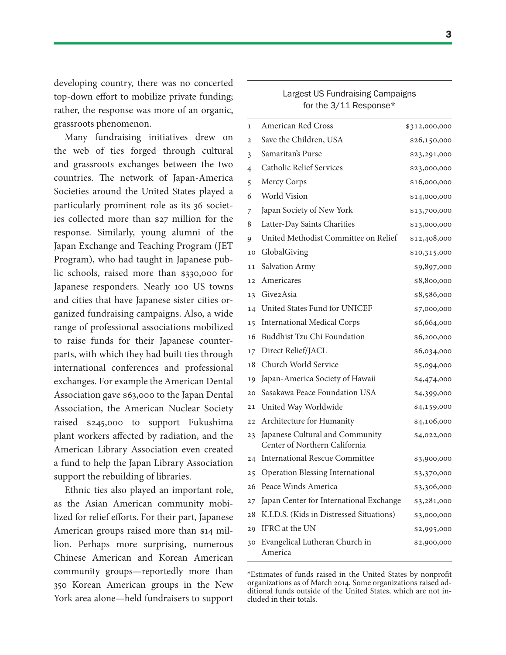developing country, there was no concerted top-down effort to mobilize private funding; rather, the response was more of an organic, grassroots phenomenon.

Many fundraising initiatives drew on the web of ties forged through cultural and grassroots exchanges between the two countries. The network of Japan-America Societies around the United States played a particularly prominent role as its 36 societies collected more than \$27 million for the response. Similarly, young alumni of the Japan Exchange and Teaching Program (JET Program), who had taught in Japanese public schools, raised more than \$330,000 for Japanese responders. Nearly 100 US towns and cities that have Japanese sister cities organized fundraising campaigns. Also, a wide range of professional associations mobilized to raise funds for their Japanese counterparts, with which they had built ties through international conferences and professional exchanges. For example the American Dental Association gave \$63,000 to the Japan Dental Association, the American Nuclear Society raised \$245,000 to support Fukushima plant workers affected by radiation, and the American Library Association even created a fund to help the Japan Library Association support the rebuilding of libraries.

Ethnic ties also played an important role, as the Asian American community mobilized for relief efforts. For their part, Japanese American groups raised more than \$14 million. Perhaps more surprising, numerous Chinese American and Korean American community groups—reportedly more than 350 Korean American groups in the New York area alone—held fundraisers to support

| for the 3/11 Response* | Largest US Fundraising Campaigns |  |
|------------------------|----------------------------------|--|
|                        |                                  |  |

| 1              | American Red Cross                                               | \$312,000,000 |
|----------------|------------------------------------------------------------------|---------------|
| $\overline{2}$ | Save the Children, USA                                           | \$26,150,000  |
| 3              | Samaritan's Purse                                                | \$23,291,000  |
| 4              | <b>Catholic Relief Services</b>                                  | \$23,000,000  |
| 5              | Mercy Corps                                                      | \$16,000,000  |
| 6              | World Vision                                                     | \$14,000,000  |
| 7              | Japan Society of New York                                        | \$13,700,000  |
| 8              | Latter-Day Saints Charities                                      | \$13,000,000  |
| 9              | United Methodist Committee on Relief                             | \$12,408,000  |
| 10             | GlobalGiving                                                     | \$10,315,000  |
| 11             | Salvation Army                                                   | \$9,897,000   |
| 12             | Americares                                                       | \$8,800,000   |
| 13             | Give2Asia                                                        | \$8,586,000   |
| 14             | United States Fund for UNICEF                                    | \$7,000,000   |
| 15             | <b>International Medical Corps</b>                               | \$6,664,000   |
| 16             | <b>Buddhist Tzu Chi Foundation</b>                               | \$6,200,000   |
| 17             | Direct Relief/JACL                                               | \$6,034,000   |
| 18             | Church World Service                                             | \$5,094,000   |
| 19             | Japan-America Society of Hawaii                                  | \$4,474,000   |
| 20             | Sasakawa Peace Foundation USA                                    | \$4,399,000   |
| 21             | United Way Worldwide                                             | \$4,159,000   |
| 22             | Architecture for Humanity                                        | \$4,106,000   |
| 23             | Japanese Cultural and Community<br>Center of Northern California | \$4,022,000   |
| 24             | <b>International Rescue Committee</b>                            | \$3,900,000   |
| 25             | Operation Blessing International                                 | \$3,370,000   |
| 26             | Peace Winds America                                              | \$3,306,000   |
| 27             | Japan Center for International Exchange                          | \$3,281,000   |
| 28             | K.I.D.S. (Kids in Distressed Situations)                         | \$3,000,000   |
| 29             | IFRC at the UN                                                   | \$2,995,000   |
| 30             | Evangelical Lutheran Church in<br>America                        | \$2,900,000   |

\*Estimates of funds raised in the United States by nonprofit organizations as of March 2014. Some organizations raised additional funds outside of the United States, which are not included in their totals.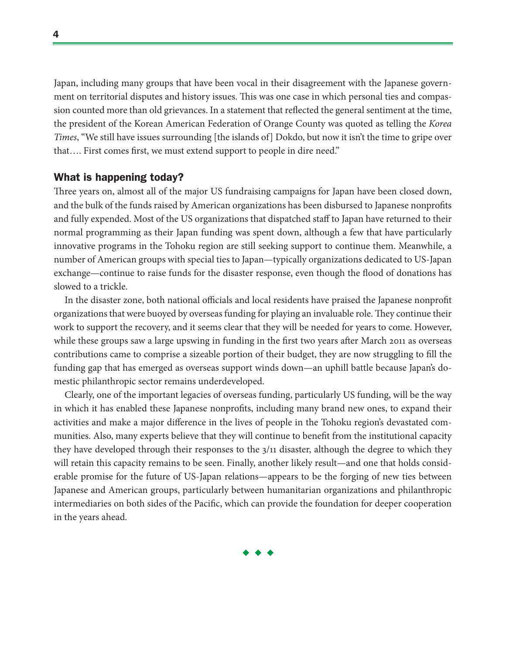Japan, including many groups that have been vocal in their disagreement with the Japanese government on territorial disputes and history issues. This was one case in which personal ties and compassion counted more than old grievances. In a statement that reflected the general sentiment at the time, the president of the Korean American Federation of Orange County was quoted as telling the *Korea Times*, "We still have issues surrounding [the islands of] Dokdo, but now it isn't the time to gripe over that…. First comes first, we must extend support to people in dire need."

## What is happening today?

Three years on, almost all of the major US fundraising campaigns for Japan have been closed down, and the bulk of the funds raised by American organizations has been disbursed to Japanese nonprofits and fully expended. Most of the US organizations that dispatched staff to Japan have returned to their normal programming as their Japan funding was spent down, although a few that have particularly innovative programs in the Tohoku region are still seeking support to continue them. Meanwhile, a number of American groups with special ties to Japan—typically organizations dedicated to US-Japan exchange—continue to raise funds for the disaster response, even though the flood of donations has slowed to a trickle.

In the disaster zone, both national officials and local residents have praised the Japanese nonprofit organizations that were buoyed by overseas funding for playing an invaluable role. They continue their work to support the recovery, and it seems clear that they will be needed for years to come. However, while these groups saw a large upswing in funding in the first two years after March 2011 as overseas contributions came to comprise a sizeable portion of their budget, they are now struggling to fill the funding gap that has emerged as overseas support winds down—an uphill battle because Japan's domestic philanthropic sector remains underdeveloped.

Clearly, one of the important legacies of overseas funding, particularly US funding, will be the way in which it has enabled these Japanese nonprofits, including many brand new ones, to expand their activities and make a major difference in the lives of people in the Tohoku region's devastated communities. Also, many experts believe that they will continue to benefit from the institutional capacity they have developed through their responses to the 3/11 disaster, although the degree to which they will retain this capacity remains to be seen. Finally, another likely result—and one that holds considerable promise for the future of US-Japan relations—appears to be the forging of new ties between Japanese and American groups, particularly between humanitarian organizations and philanthropic intermediaries on both sides of the Pacific, which can provide the foundation for deeper cooperation in the years ahead.

4

 $\bullet$   $\bullet$   $\bullet$